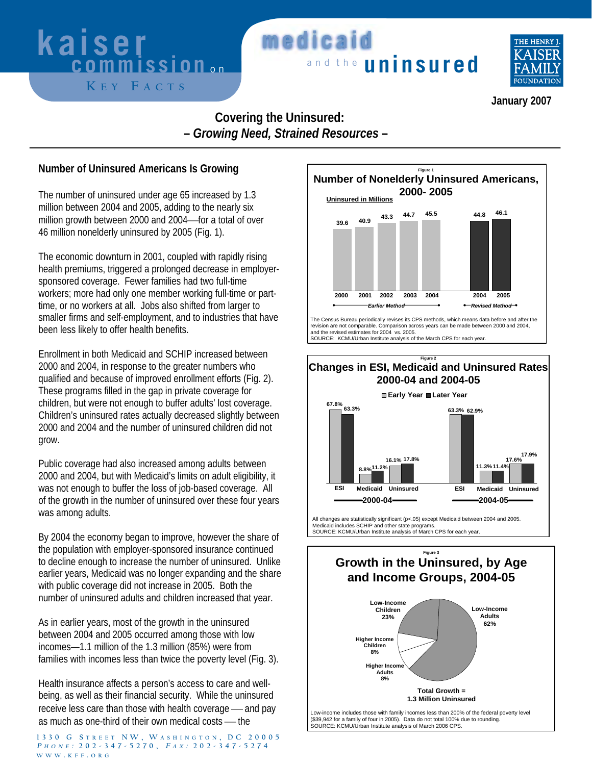# **K E Y F ACTS**

### **kaiser medicaid**<br>**commission** on **needicaid medicai**



 **January 2007** 

#### **Covering the Uninsured: –** *Growing Need, Strained Resources* **–**

#### **Number of Uninsured Americans Is Growing**

The number of uninsured under age 65 increased by 1.3 million between 2004 and 2005, adding to the nearly six million growth between 2000 and 2004 for a total of over 46 million nonelderly uninsured by 2005 (Fig. 1).

The economic downturn in 2001, coupled with rapidly rising health premiums, triggered a prolonged decrease in employersponsored coverage. Fewer families had two full-time workers; more had only one member working full-time or parttime, or no workers at all. Jobs also shifted from larger to smaller firms and self-employment, and to industries that have been less likely to offer health benefits.

Enrollment in both Medicaid and SCHIP increased between 2000 and 2004, in response to the greater numbers who qualified and because of improved enrollment efforts (Fig. 2). These programs filled in the gap in private coverage for children, but were not enough to buffer adults' lost coverage. Children's uninsured rates actually decreased slightly between 2000 and 2004 and the number of uninsured children did not grow.

Public coverage had also increased among adults between 2000 and 2004, but with Medicaid's limits on adult eligibility, it was not enough to buffer the loss of job-based coverage. All of the growth in the number of uninsured over these four years was among adults.

By 2004 the economy began to improve, however the share of the population with employer-sponsored insurance continued to decline enough to increase the number of uninsured. Unlike earlier years, Medicaid was no longer expanding and the share with public coverage did not increase in 2005. Both the number of uninsured adults and children increased that year.

As in earlier years, most of the growth in the uninsured between 2004 and 2005 occurred among those with low incomes—1.1 million of the 1.3 million (85%) were from families with incomes less than twice the poverty level (Fig. 3).

Health insurance affects a person's access to care and wellbeing, as well as their financial security. While the uninsured receive less care than those with health coverage — and pay as much as one-third of their own medical costs — the

**1330 G S TREET NW, W ASHINGTON , DC 20005 <sup>P</sup> HONE : 202-347-5270, <sup>F</sup> <sup>A</sup> <sup>X</sup> : 202-347-5274 WWW . KFF . ORG**



The Census Bureau periodically revises its CPS methods, which means data before and after the revision are not comparable. Comparison across years can be made between 2000 and 2004, and the revised estimates for 2004 vs. 2005. SOURCE: KCMU/Urban Institute analysis of the March CPS for each year.

#### **Figure 2 Changes in ESI, Medicaid and Uninsured Rates 2000-04 and 2004-05**



All changes are statistically significant (p<.05) except Medicaid between 2004 and 2005. Medicaid includes SCHIP and other state programs. SOURCE: KCMU/Urban Institute analysis of March CPS for each year.